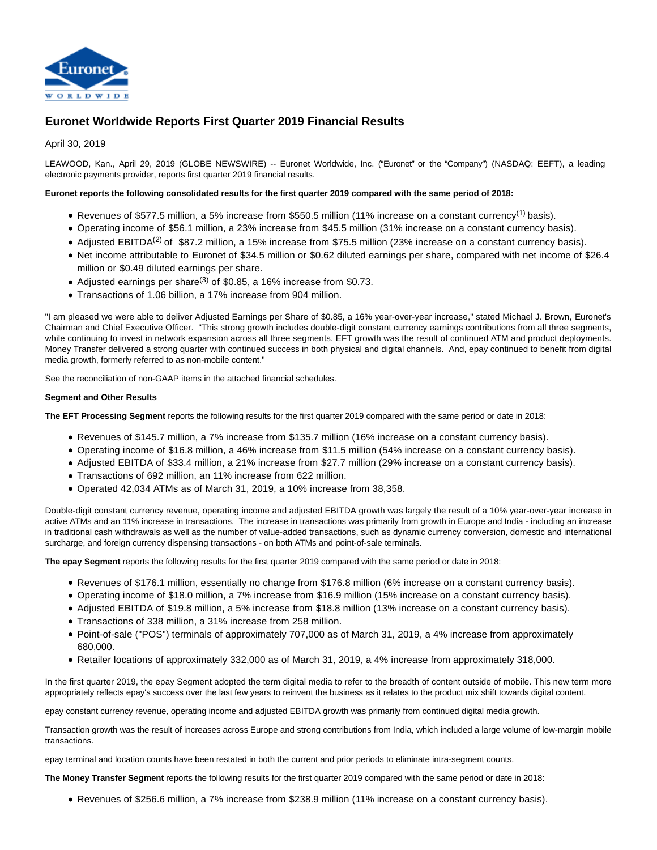

# **Euronet Worldwide Reports First Quarter 2019 Financial Results**

April 30, 2019

LEAWOOD, Kan., April 29, 2019 (GLOBE NEWSWIRE) -- Euronet Worldwide, Inc. ("Euronet" or the "Company") (NASDAQ: EEFT), a leading electronic payments provider, reports first quarter 2019 financial results.

# **Euronet reports the following consolidated results for the first quarter 2019 compared with the same period of 2018:**

- Revenues of \$577.5 million, a 5% increase from \$550.5 million (11% increase on a constant currency<sup>(1)</sup> basis).
- Operating income of \$56.1 million, a 23% increase from \$45.5 million (31% increase on a constant currency basis).
- Adjusted EBITDA<sup>(2)</sup> of \$87.2 million, a 15% increase from \$75.5 million (23% increase on a constant currency basis).
- Net income attributable to Euronet of \$34.5 million or \$0.62 diluted earnings per share, compared with net income of \$26.4 million or \$0.49 diluted earnings per share.
- Adjusted earnings per share<sup>(3)</sup> of \$0.85, a 16% increase from \$0.73.
- Transactions of 1.06 billion, a 17% increase from 904 million.

"I am pleased we were able to deliver Adjusted Earnings per Share of \$0.85, a 16% year-over-year increase," stated Michael J. Brown, Euronet's Chairman and Chief Executive Officer. "This strong growth includes double-digit constant currency earnings contributions from all three segments, while continuing to invest in network expansion across all three segments. EFT growth was the result of continued ATM and product deployments. Money Transfer delivered a strong quarter with continued success in both physical and digital channels. And, epay continued to benefit from digital media growth, formerly referred to as non-mobile content."

See the reconciliation of non-GAAP items in the attached financial schedules.

## **Segment and Other Results**

**The EFT Processing Segment** reports the following results for the first quarter 2019 compared with the same period or date in 2018:

- Revenues of \$145.7 million, a 7% increase from \$135.7 million (16% increase on a constant currency basis).
- Operating income of \$16.8 million, a 46% increase from \$11.5 million (54% increase on a constant currency basis).
- Adjusted EBITDA of \$33.4 million, a 21% increase from \$27.7 million (29% increase on a constant currency basis).
- Transactions of 692 million, an 11% increase from 622 million.
- Operated 42,034 ATMs as of March 31, 2019, a 10% increase from 38,358.

Double-digit constant currency revenue, operating income and adjusted EBITDA growth was largely the result of a 10% year-over-year increase in active ATMs and an 11% increase in transactions. The increase in transactions was primarily from growth in Europe and India - including an increase in traditional cash withdrawals as well as the number of value-added transactions, such as dynamic currency conversion, domestic and international surcharge, and foreign currency dispensing transactions - on both ATMs and point-of-sale terminals.

**The epay Segment** reports the following results for the first quarter 2019 compared with the same period or date in 2018:

- Revenues of \$176.1 million, essentially no change from \$176.8 million (6% increase on a constant currency basis).
- Operating income of \$18.0 million, a 7% increase from \$16.9 million (15% increase on a constant currency basis).
- Adjusted EBITDA of \$19.8 million, a 5% increase from \$18.8 million (13% increase on a constant currency basis).
- Transactions of 338 million, a 31% increase from 258 million.
- Point-of-sale ("POS") terminals of approximately 707,000 as of March 31, 2019, a 4% increase from approximately 680,000.
- Retailer locations of approximately 332,000 as of March 31, 2019, a 4% increase from approximately 318,000.

In the first quarter 2019, the epay Segment adopted the term digital media to refer to the breadth of content outside of mobile. This new term more appropriately reflects epay's success over the last few years to reinvent the business as it relates to the product mix shift towards digital content.

epay constant currency revenue, operating income and adjusted EBITDA growth was primarily from continued digital media growth.

Transaction growth was the result of increases across Europe and strong contributions from India, which included a large volume of low-margin mobile transactions.

epay terminal and location counts have been restated in both the current and prior periods to eliminate intra-segment counts.

**The Money Transfer Segment** reports the following results for the first quarter 2019 compared with the same period or date in 2018:

Revenues of \$256.6 million, a 7% increase from \$238.9 million (11% increase on a constant currency basis).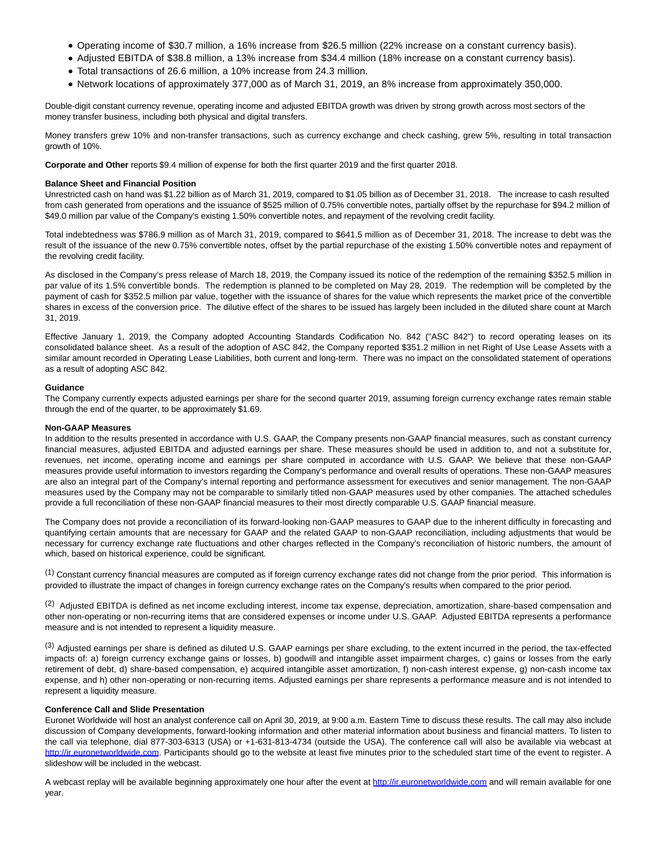- Operating income of \$30.7 million, a 16% increase from \$26.5 million (22% increase on a constant currency basis).
- Adjusted EBITDA of \$38.8 million, a 13% increase from \$34.4 million (18% increase on a constant currency basis).
- Total transactions of 26.6 million, a 10% increase from 24.3 million.
- Network locations of approximately 377,000 as of March 31, 2019, an 8% increase from approximately 350,000.

Double-digit constant currency revenue, operating income and adjusted EBITDA growth was driven by strong growth across most sectors of the money transfer business, including both physical and digital transfers.

Money transfers grew 10% and non-transfer transactions, such as currency exchange and check cashing, grew 5%, resulting in total transaction growth of 10%.

**Corporate and Other** reports \$9.4 million of expense for both the first quarter 2019 and the first quarter 2018.

### **Balance Sheet and Financial Position**

Unrestricted cash on hand was \$1.22 billion as of March 31, 2019, compared to \$1.05 billion as of December 31, 2018. The increase to cash resulted from cash generated from operations and the issuance of \$525 million of 0.75% convertible notes, partially offset by the repurchase for \$94.2 million of \$49.0 million par value of the Company's existing 1.50% convertible notes, and repayment of the revolving credit facility.

Total indebtedness was \$786.9 million as of March 31, 2019, compared to \$641.5 million as of December 31, 2018. The increase to debt was the result of the issuance of the new 0.75% convertible notes, offset by the partial repurchase of the existing 1.50% convertible notes and repayment of the revolving credit facility.

As disclosed in the Company's press release of March 18, 2019, the Company issued its notice of the redemption of the remaining \$352.5 million in par value of its 1.5% convertible bonds. The redemption is planned to be completed on May 28, 2019. The redemption will be completed by the payment of cash for \$352.5 million par value, together with the issuance of shares for the value which represents the market price of the convertible shares in excess of the conversion price. The dilutive effect of the shares to be issued has largely been included in the diluted share count at March 31, 2019.

Effective January 1, 2019, the Company adopted Accounting Standards Codification No. 842 ("ASC 842") to record operating leases on its consolidated balance sheet. As a result of the adoption of ASC 842, the Company reported \$351.2 million in net Right of Use Lease Assets with a similar amount recorded in Operating Lease Liabilities, both current and long-term. There was no impact on the consolidated statement of operations as a result of adopting ASC 842.

#### **Guidance**

The Company currently expects adjusted earnings per share for the second quarter 2019, assuming foreign currency exchange rates remain stable through the end of the quarter, to be approximately \$1.69.

#### **Non-GAAP Measures**

In addition to the results presented in accordance with U.S. GAAP, the Company presents non-GAAP financial measures, such as constant currency financial measures, adjusted EBITDA and adjusted earnings per share. These measures should be used in addition to, and not a substitute for, revenues, net income, operating income and earnings per share computed in accordance with U.S. GAAP. We believe that these non-GAAP measures provide useful information to investors regarding the Company's performance and overall results of operations. These non-GAAP measures are also an integral part of the Company's internal reporting and performance assessment for executives and senior management. The non-GAAP measures used by the Company may not be comparable to similarly titled non-GAAP measures used by other companies. The attached schedules provide a full reconciliation of these non-GAAP financial measures to their most directly comparable U.S. GAAP financial measure.

The Company does not provide a reconciliation of its forward-looking non-GAAP measures to GAAP due to the inherent difficulty in forecasting and quantifying certain amounts that are necessary for GAAP and the related GAAP to non-GAAP reconciliation, including adjustments that would be necessary for currency exchange rate fluctuations and other charges reflected in the Company's reconciliation of historic numbers, the amount of which, based on historical experience, could be significant.

(1) Constant currency financial measures are computed as if foreign currency exchange rates did not change from the prior period. This information is provided to illustrate the impact of changes in foreign currency exchange rates on the Company's results when compared to the prior period.

<sup>(2)</sup> Adjusted EBITDA is defined as net income excluding interest, income tax expense, depreciation, amortization, share-based compensation and other non-operating or non-recurring items that are considered expenses or income under U.S. GAAP. Adjusted EBITDA represents a performance measure and is not intended to represent a liquidity measure.

(3) Adjusted earnings per share is defined as diluted U.S. GAAP earnings per share excluding, to the extent incurred in the period, the tax-effected impacts of: a) foreign currency exchange gains or losses, b) goodwill and intangible asset impairment charges, c) gains or losses from the early retirement of debt, d) share-based compensation, e) acquired intangible asset amortization, f) non-cash interest expense, g) non-cash income tax expense, and h) other non-operating or non-recurring items. Adjusted earnings per share represents a performance measure and is not intended to represent a liquidity measure.

#### **Conference Call and Slide Presentation**

Euronet Worldwide will host an analyst conference call on April 30, 2019, at 9:00 a.m. Eastern Time to discuss these results. The call may also include discussion of Company developments, forward-looking information and other material information about business and financial matters. To listen to the call via telephone, dial 877-303-6313 (USA) or +1-631-813-4734 (outside the USA). The conference call will also be available via webcast at [http://ir.euronetworldwide.com.](http://ir.euronetworldwide.com/) Participants should go to the website at least five minutes prior to the scheduled start time of the event to register. A slideshow will be included in the webcast.

A webcast replay will be available beginning approximately one hour after the event at [http://ir.euronetworldwide.com a](http://ir.euronetworldwide.com/)nd will remain available for one year.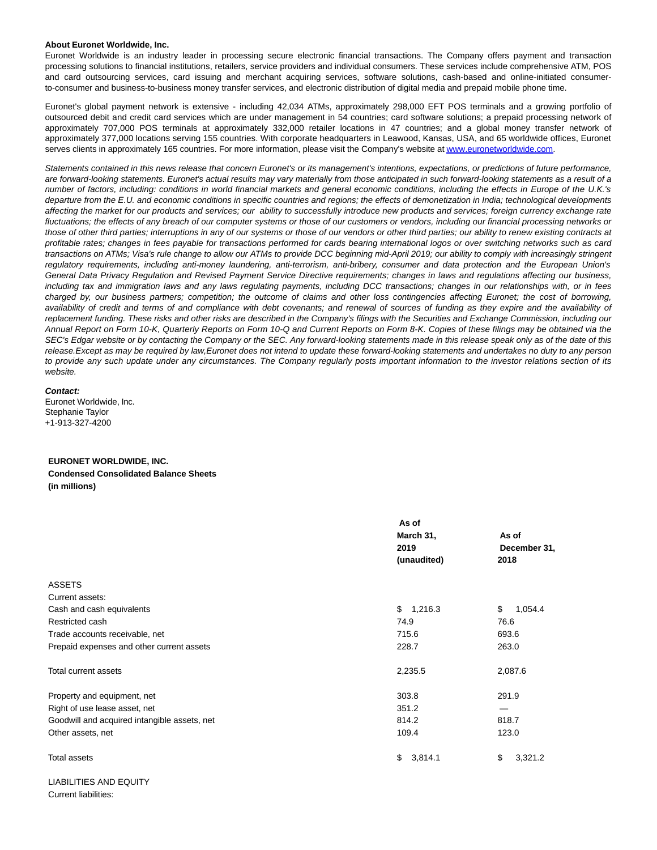#### **About Euronet Worldwide, Inc.**

Euronet Worldwide is an industry leader in processing secure electronic financial transactions. The Company offers payment and transaction processing solutions to financial institutions, retailers, service providers and individual consumers. These services include comprehensive ATM, POS and card outsourcing services, card issuing and merchant acquiring services, software solutions, cash-based and online-initiated consumerto-consumer and business-to-business money transfer services, and electronic distribution of digital media and prepaid mobile phone time.

Euronet's global payment network is extensive - including 42,034 ATMs, approximately 298,000 EFT POS terminals and a growing portfolio of outsourced debit and credit card services which are under management in 54 countries; card software solutions; a prepaid processing network of approximately 707,000 POS terminals at approximately 332,000 retailer locations in 47 countries; and a global money transfer network of approximately 377,000 locations serving 155 countries. With corporate headquarters in Leawood, Kansas, USA, and 65 worldwide offices, Euronet serves clients in approximately 165 countries. For more information, please visit the Company's website a[t www.euronetworldwide.com.](http://www.euronetworldwide.com/)

Statements contained in this news release that concern Euronet's or its management's intentions, expectations, or predictions of future performance, are forward-looking statements. Euronet's actual results may vary materially from those anticipated in such forward-looking statements as a result of a number of factors, including: conditions in world financial markets and general economic conditions, including the effects in Europe of the U.K.'s departure from the E.U. and economic conditions in specific countries and regions; the effects of demonetization in India; technological developments affecting the market for our products and services; our ability to successfully introduce new products and services; foreign currency exchange rate fluctuations; the effects of any breach of our computer systems or those of our customers or vendors, including our financial processing networks or those of other third parties; interruptions in any of our systems or those of our vendors or other third parties; our ability to renew existing contracts at profitable rates; changes in fees payable for transactions performed for cards bearing international logos or over switching networks such as card transactions on ATMs; Visa's rule change to allow our ATMs to provide DCC beginning mid-April 2019; our ability to comply with increasingly stringent regulatory requirements, including anti-money laundering, anti-terrorism, anti-bribery, consumer and data protection and the European Union's General Data Privacy Regulation and Revised Payment Service Directive requirements; changes in laws and regulations affecting our business, including tax and immigration laws and any laws regulating payments, including DCC transactions; changes in our relationships with, or in fees charged by, our business partners; competition; the outcome of claims and other loss contingencies affecting Euronet; the cost of borrowing, availability of credit and terms of and compliance with debt covenants; and renewal of sources of funding as they expire and the availability of replacement funding. These risks and other risks are described in the Company's filings with the Securities and Exchange Commission, including our Annual Report on Form 10-K, Quarterly Reports on Form 10-Q and Current Reports on Form 8-K. Copies of these filings may be obtained via the SEC's Edgar website or by contacting the Company or the SEC. Any forward-looking statements made in this release speak only as of the date of this release.Except as may be required by law,Euronet does not intend to update these forward-looking statements and undertakes no duty to any person to provide any such update under any circumstances. The Company regularly posts important information to the investor relations section of its website.

#### **Contact:**

Euronet Worldwide, Inc. Stephanie Taylor +1-913-327-4200

### **EURONET WORLDWIDE, INC.**

 **Condensed Consolidated Balance Sheets (in millions)**

|                                              | As of         |                       |  |
|----------------------------------------------|---------------|-----------------------|--|
|                                              | March 31,     | As of<br>December 31, |  |
|                                              | 2019          |                       |  |
|                                              | (unaudited)   | 2018                  |  |
| <b>ASSETS</b>                                |               |                       |  |
| Current assets:                              |               |                       |  |
| Cash and cash equivalents                    | \$<br>1,216.3 | \$<br>1,054.4         |  |
| Restricted cash                              | 74.9          | 76.6                  |  |
| Trade accounts receivable, net               | 715.6         | 693.6                 |  |
| Prepaid expenses and other current assets    | 228.7         | 263.0                 |  |
| Total current assets                         | 2,235.5       | 2,087.6               |  |
| Property and equipment, net                  | 303.8         | 291.9                 |  |
| Right of use lease asset, net                | 351.2         |                       |  |
| Goodwill and acquired intangible assets, net | 814.2         | 818.7                 |  |
| Other assets, net                            | 109.4         | 123.0                 |  |
| <b>Total assets</b>                          | 3,814.1<br>\$ | \$<br>3,321.2         |  |

 LIABILITIES AND EQUITY Current liabilities: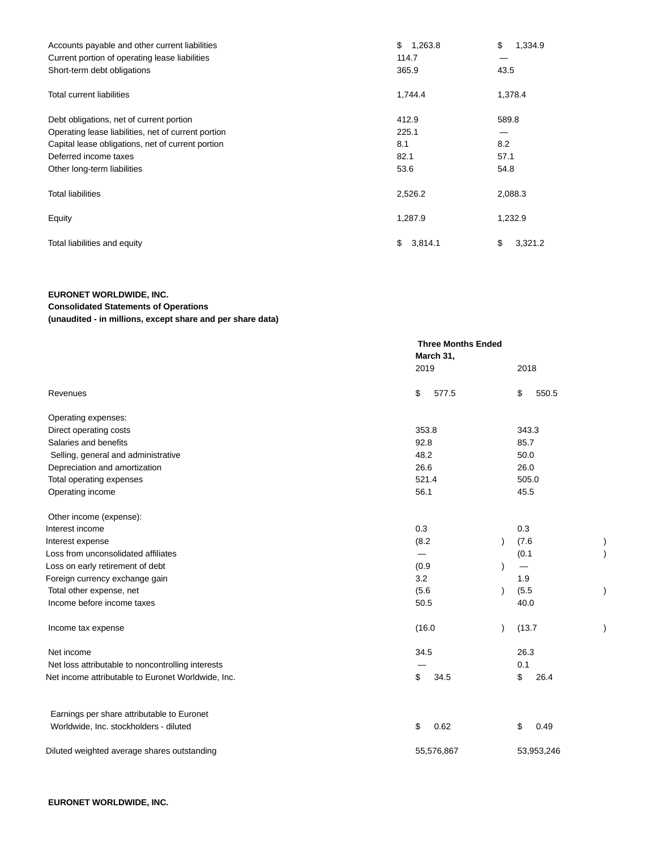| Accounts payable and other current liabilities<br>Current portion of operating lease liabilities | \$<br>1,263.8<br>114.7 | \$<br>1,334.9 |
|--------------------------------------------------------------------------------------------------|------------------------|---------------|
| Short-term debt obligations                                                                      | 365.9                  | 43.5          |
| <b>Total current liabilities</b>                                                                 | 1,744.4                | 1,378.4       |
| Debt obligations, net of current portion                                                         | 412.9                  | 589.8         |
| Operating lease liabilities, net of current portion                                              | 225.1                  |               |
| Capital lease obligations, net of current portion                                                | 8.1                    | 8.2           |
| Deferred income taxes                                                                            | 82.1                   | 57.1          |
| Other long-term liabilities                                                                      | 53.6                   | 54.8          |
| <b>Total liabilities</b>                                                                         | 2,526.2                | 2,088.3       |
| Equity                                                                                           | 1,287.9                | 1,232.9       |
| Total liabilities and equity                                                                     | \$<br>3,814.1          | \$<br>3.321.2 |

 **EURONET WORLDWIDE, INC.**

# **Consolidated Statements of Operations**

 **(unaudited - in millions, except share and per share data)**

|                                                    | <b>Three Months Ended</b> |  |             |       |  |
|----------------------------------------------------|---------------------------|--|-------------|-------|--|
|                                                    | March 31,                 |  |             |       |  |
|                                                    | 2019                      |  | 2018        |       |  |
| Revenues                                           | \$<br>577.5               |  | \$<br>550.5 |       |  |
| Operating expenses:                                |                           |  |             |       |  |
| Direct operating costs                             | 353.8                     |  | 343.3       |       |  |
| Salaries and benefits                              | 92.8                      |  | 85.7        |       |  |
| Selling, general and administrative                | 48.2                      |  | 50.0        |       |  |
| Depreciation and amortization                      | 26.6                      |  |             | 26.0  |  |
| Total operating expenses                           | 521.4                     |  |             | 505.0 |  |
| Operating income                                   | 56.1<br>45.5              |  |             |       |  |
| Other income (expense):                            |                           |  |             |       |  |
| Interest income                                    | 0.3                       |  | 0.3         |       |  |
| Interest expense                                   | (8.2)                     |  | (7.6)       |       |  |
| Loss from unconsolidated affiliates                | –                         |  | (0.1)       |       |  |
| Loss on early retirement of debt                   | (0.9)                     |  |             |       |  |
| Foreign currency exchange gain                     | 3.2                       |  | 1.9         |       |  |
| Total other expense, net                           | (5.6)                     |  | (5.5)       |       |  |
| Income before income taxes                         | 50.5                      |  | 40.0        |       |  |
| Income tax expense                                 | (16.0)                    |  | (13.7)      |       |  |
| Net income                                         | 34.5                      |  | 26.3        |       |  |
| Net loss attributable to noncontrolling interests  |                           |  | 0.1         |       |  |
| Net income attributable to Euronet Worldwide, Inc. | \$<br>34.5                |  | \$<br>26.4  |       |  |
| Earnings per share attributable to Euronet         |                           |  |             |       |  |
| Worldwide, Inc. stockholders - diluted             | \$<br>0.62                |  | \$<br>0.49  |       |  |
|                                                    |                           |  |             |       |  |
| Diluted weighted average shares outstanding        | 55,576,867                |  | 53,953,246  |       |  |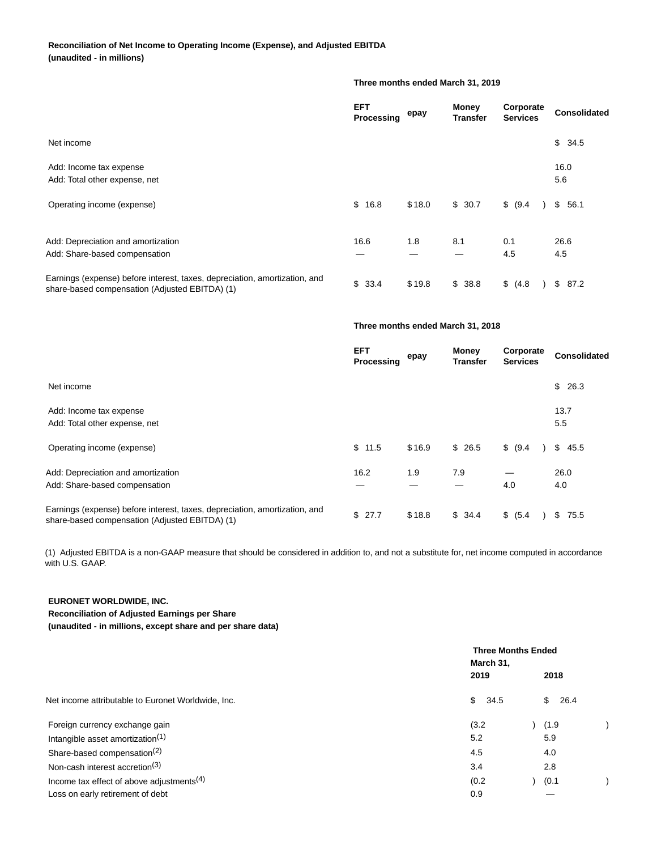# **Three months ended March 31, 2019**

|                                                                                                                              | <b>EFT</b><br>Processing | epay   | Money<br><b>Transfer</b> | Corporate<br><b>Services</b> | <b>Consolidated</b> |
|------------------------------------------------------------------------------------------------------------------------------|--------------------------|--------|--------------------------|------------------------------|---------------------|
| Net income                                                                                                                   |                          |        |                          |                              | \$34.5              |
| Add: Income tax expense<br>Add: Total other expense, net                                                                     |                          |        |                          |                              | 16.0<br>5.6         |
| Operating income (expense)                                                                                                   | \$16.8                   | \$18.0 | \$30.7                   | \$ (9.4)                     | \$<br>56.1          |
| Add: Depreciation and amortization<br>Add: Share-based compensation                                                          | 16.6                     | 1.8    | 8.1                      | 0.1<br>4.5                   | 26.6<br>4.5         |
| Earnings (expense) before interest, taxes, depreciation, amortization, and<br>share-based compensation (Adjusted EBITDA) (1) | \$33.4                   | \$19.8 | \$38.8                   | \$(4.8)                      | S<br>87.2           |

### **Three months ended March 31, 2018**

|                                                                                                                              | <b>EFT</b><br>Processing | epay   | Money<br><b>Transfer</b> | Corporate<br><b>Services</b> | Consolidated |
|------------------------------------------------------------------------------------------------------------------------------|--------------------------|--------|--------------------------|------------------------------|--------------|
| Net income                                                                                                                   |                          |        |                          |                              | \$26.3       |
| Add: Income tax expense<br>Add: Total other expense, net                                                                     |                          |        |                          |                              | 13.7<br>5.5  |
| Operating income (expense)                                                                                                   | \$11.5                   | \$16.9 | \$26.5                   | \$ (9.4)                     | \$<br>45.5   |
| Add: Depreciation and amortization<br>Add: Share-based compensation                                                          | 16.2                     | 1.9    | 7.9                      | 4.0                          | 26.0<br>4.0  |
| Earnings (expense) before interest, taxes, depreciation, amortization, and<br>share-based compensation (Adjusted EBITDA) (1) | \$27.7                   | \$18.8 | \$34.4                   | \$ (5.4)                     | 75.5         |

(1) Adjusted EBITDA is a non-GAAP measure that should be considered in addition to, and not a substitute for, net income computed in accordance with U.S. GAAP.

# **EURONET WORLDWIDE, INC. Reconciliation of Adjusted Earnings per Share (unaudited - in millions, except share and per share data)**

|                                                       | <b>Three Months Ended</b><br>March 31, |            |  |
|-------------------------------------------------------|----------------------------------------|------------|--|
|                                                       | 2019                                   | 2018       |  |
| Net income attributable to Euronet Worldwide, Inc.    | \$<br>34.5                             | \$<br>26.4 |  |
| Foreign currency exchange gain                        | (3.2)                                  | (1.9)      |  |
| Intangible asset amortization <sup>(1)</sup>          | 5.2                                    | 5.9        |  |
| Share-based compensation <sup>(2)</sup>               | 4.5                                    | 4.0        |  |
| Non-cash interest accretion <sup>(3)</sup>            | 3.4                                    | 2.8        |  |
| Income tax effect of above adjustments <sup>(4)</sup> | (0.2)                                  | (0.1)      |  |
| Loss on early retirement of debt                      | 0.9                                    |            |  |